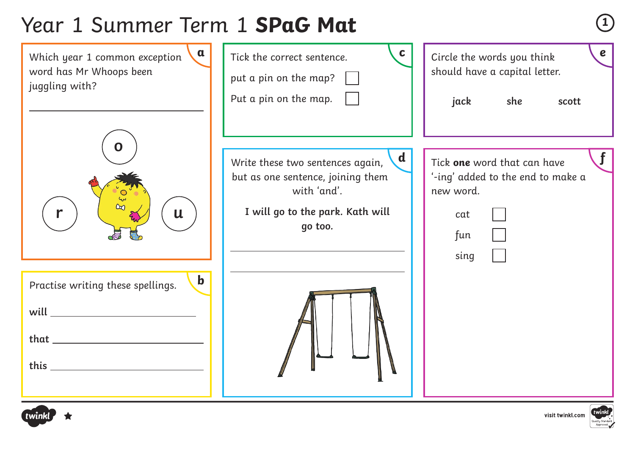# Year 1 Summer Term 1 **SPaG Mat <sup>1</sup>**



![](_page_0_Picture_2.jpeg)

![](_page_0_Picture_3.jpeg)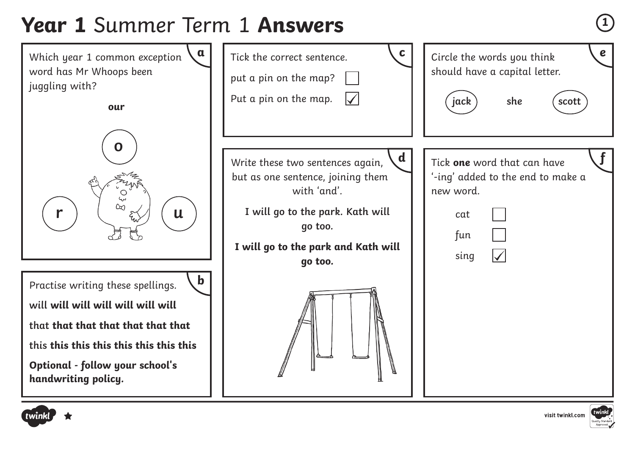# **Year 1** Summer Term 1 **Answers <sup>1</sup>**

![](_page_1_Figure_1.jpeg)

![](_page_1_Picture_2.jpeg)

![](_page_1_Picture_3.jpeg)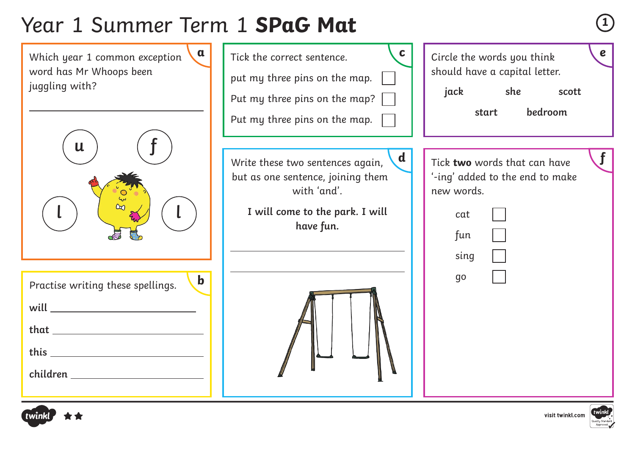# Year 1 Summer Term 1 **SPaG Mat <sup>1</sup>**

![](_page_2_Figure_1.jpeg)

visit twinkl.com

![](_page_2_Picture_2.jpeg)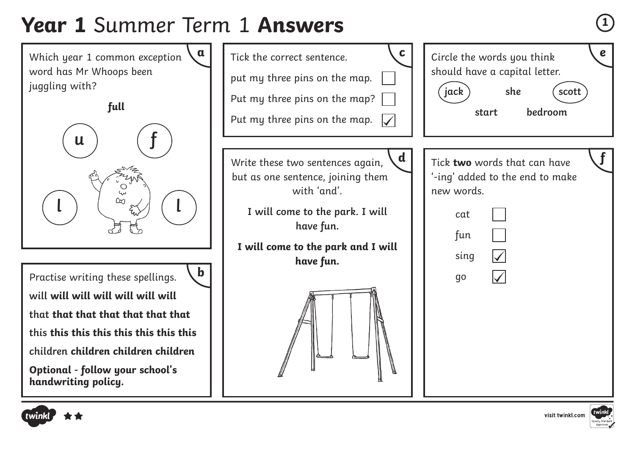#### **Year 1** Summer Term 1 **Answers <sup>1</sup>**

![](_page_3_Figure_1.jpeg)

![](_page_3_Picture_2.jpeg)

![](_page_3_Picture_3.jpeg)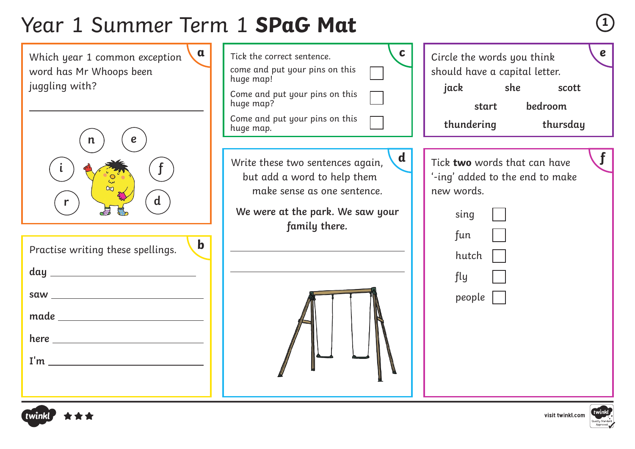# Year 1 Summer Term 1 **SPaG Mat <sup>1</sup>**

![](_page_4_Figure_1.jpeg)

![](_page_4_Picture_2.jpeg)

![](_page_4_Picture_3.jpeg)